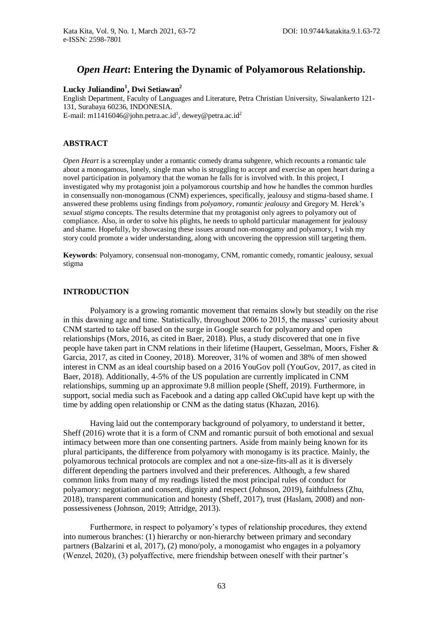# *Open Heart***: Entering the Dynamic of Polyamorous Relationship.**

# **Lucky Juliandino<sup>1</sup> , Dwi Setiawan<sup>2</sup>**

English Department, Faculty of Languages and Literature, Petra Christian University, Siwalankerto 121- 131, Surabaya 60236, INDONESIA. E-mail: m11416046@john.petra.ac.id<sup>1</sup>, dewey@petra.ac.id<sup>2</sup>

# **ABSTRACT**

*Open Heart* is a screenplay under a romantic comedy drama subgenre, which recounts a romantic tale about a monogamous, lonely, single man who is struggling to accept and exercise an open heart during a novel participation in polyamory that the woman he falls for is involved with. In this project, I investigated why my protagonist join a polyamorous courtship and how he handles the common hurdles in consensually non-monogamous (CNM) experiences, specifically, jealousy and stigma-based shame. I answered these problems using findings from *polyamory*, *romantic jealousy* and Gregory M. Herek's *sexual stigma* concepts. The results determine that my protagonist only agrees to polyamory out of compliance. Also, in order to solve his plights, he needs to uphold particular management for jealousy and shame. Hopefully, by showcasing these issues around non-monogamy and polyamory, I wish my story could promote a wider understanding, along with uncovering the oppression still targeting them.

**Keywords**: Polyamory, consensual non-monogamy, CNM, romantic comedy, romantic jealousy, sexual stigma

# **INTRODUCTION**

Polyamory is a growing romantic movement that remains slowly but steadily on the rise in this dawning age and time. Statistically, throughout 2006 to 2015, the masses' curiosity about CNM started to take off based on the surge in Google search for polyamory and open relationships (Mors, 2016, as cited in Baer, 2018). Plus, a study discovered that one in five people have taken part in CNM relations in their lifetime (Haupert, Gesselman, Moors, Fisher & Garcia, 2017, as cited in Cooney, 2018). Moreover, 31% of women and 38% of men showed interest in CNM as an ideal courtship based on a 2016 YouGov poll (YouGov, 2017, as cited in Baer, 2018). Additionally, 4-5% of the US population are currently implicated in CNM relationships, summing up an approximate 9.8 million people (Sheff, 2019). Furthermore, in support, social media such as Facebook and a dating app called OkCupid have kept up with the time by adding open relationship or CNM as the dating status (Khazan, 2016).

Having laid out the contemporary background of polyamory, to understand it better, Sheff (2016) wrote that it is a form of CNM and romantic pursuit of both emotional and sexual intimacy between more than one consenting partners. Aside from mainly being known for its plural participants, the difference from polyamory with monogamy is its practice. Mainly, the polyamorous technical protocols are complex and not a one-size-fits-all as it is diversely different depending the partners involved and their preferences. Although, a few shared common links from many of my readings listed the most principal rules of conduct for polyamory: negotiation and consent, dignity and respect (Johnson, 2019), faithfulness (Zhu, 2018), transparent communication and honesty (Sheff, 2017), trust (Haslam, 2008) and nonpossessiveness (Johnson, 2019; Attridge, 2013).

Furthermore, in respect to polyamory's types of relationship procedures, they extend into numerous branches: (1) hierarchy or non-hierarchy between primary and secondary partners (Balzarini et al, 2017), (2) mono/poly, a monogamist who engages in a polyamory (Wenzel, 2020), (3) polyaffective, mere friendship between oneself with their partner's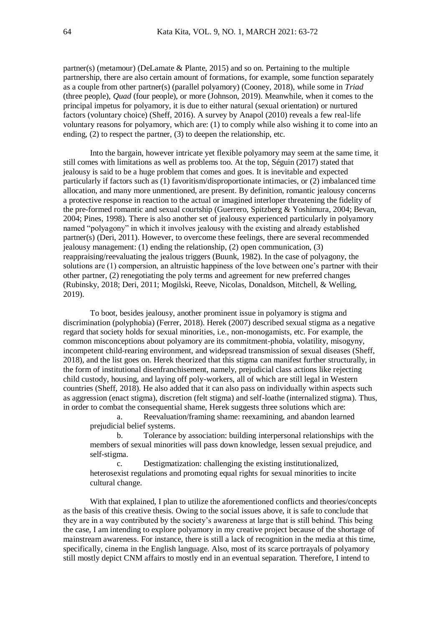partner(s) (metamour) (DeLamate  $\&$  Plante, 2015) and so on. Pertaining to the multiple partnership, there are also certain amount of formations, for example, some function separately as a couple from other partner(s) (parallel polyamory) (Cooney, 2018), while some in *Triad* (three people), *Quad* (four people), or more (Johnson, 2019). Meanwhile, when it comes to the principal impetus for polyamory, it is due to either natural (sexual orientation) or nurtured factors (voluntary choice) (Sheff, 2016). A survey by Anapol (2010) reveals a few real-life voluntary reasons for polyamory, which are: (1) to comply while also wishing it to come into an ending, (2) to respect the partner, (3) to deepen the relationship, etc.

Into the bargain, however intricate yet flexible polyamory may seem at the same time, it still comes with limitations as well as problems too. At the top, Séguin (2017) stated that jealousy is said to be a huge problem that comes and goes. It is inevitable and expected particularly if factors such as (1) favoritism/disproportionate intimacies, or (2) imbalanced time allocation, and many more unmentioned, are present. By definition, romantic jealousy concerns a protective response in reaction to the actual or imagined interloper threatening the fidelity of the pre-formed romantic and sexual courtship (Guerrero, Spitzberg & Yoshimura, 2004; Bevan, 2004; Pines, 1998). There is also another set of jealousy experienced particularly in polyamory named "polyagony" in which it involves jealousy with the existing and already established partner(s) (Deri, 2011). However, to overcome these feelings, there are several recommended jealousy management: (1) ending the relationship, (2) open communication, (3) reappraising/reevaluating the jealous triggers (Buunk, 1982). In the case of polyagony, the solutions are (1) compersion, an altruistic happiness of the love between one's partner with their other partner, (2) renegotiating the poly terms and agreement for new preferred changes (Rubinsky, 2018; Deri, 2011; Mogilski, Reeve, Nicolas, Donaldson, Mitchell, & Welling, 2019).

To boot, besides jealousy, another prominent issue in polyamory is stigma and discrimination (polyphobia) (Ferrer, 2018). Herek (2007) described sexual stigma as a negative regard that society holds for sexual minorities, i.e., non-monogamists, etc. For example, the common misconceptions about polyamory are its commitment-phobia, volatility, misogyny, incompetent child-rearing environment, and widepsread transmission of sexual diseases (Sheff, 2018), and the list goes on. Herek theorized that this stigma can manifest further structurally, in the form of institutional disenfranchisement, namely, prejudicial class actions like rejecting child custody, housing, and laying off poly-workers, all of which are still legal in Western countries (Sheff, 2018). He also added that it can also pass on individually within aspects such as aggression (enact stigma), discretion (felt stigma) and self-loathe (internalized stigma). Thus, in order to combat the consequential shame, Herek suggests three solutions which are:

a. Reevaluation/framing shame: reexamining, and abandon learned prejudicial belief systems.

b. Tolerance by association: building interpersonal relationships with the members of sexual minorities will pass down knowledge, lessen sexual prejudice, and self-stigma.

c. Destigmatization: challenging the existing institutionalized, heterosexist regulations and promoting equal rights for sexual minorities to incite cultural change.

With that explained, I plan to utilize the aforementioned conflicts and theories/concepts as the basis of this creative thesis. Owing to the social issues above, it is safe to conclude that they are in a way contributed by the society's awareness at large that is still behind. This being the case, I am intending to explore polyamory in my creative project because of the shortage of mainstream awareness. For instance, there is still a lack of recognition in the media at this time, specifically, cinema in the English language. Also, most of its scarce portrayals of polyamory still mostly depict CNM affairs to mostly end in an eventual separation. Therefore, I intend to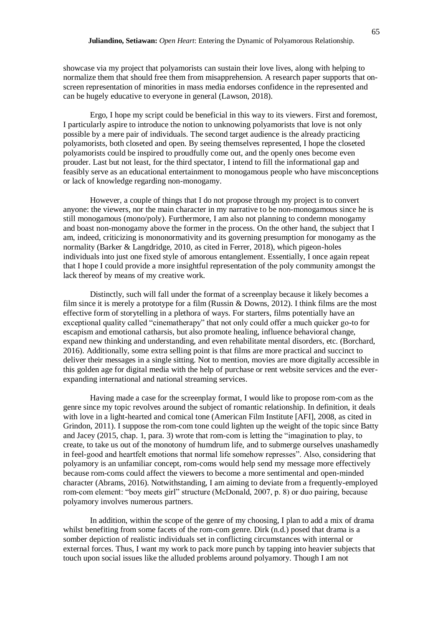showcase via my project that polyamorists can sustain their love lives, along with helping to normalize them that should free them from misapprehension. A research paper supports that onscreen representation of minorities in mass media endorses confidence in the represented and can be hugely educative to everyone in general (Lawson, 2018).

Ergo, I hope my script could be beneficial in this way to its viewers. First and foremost, I particularly aspire to introduce the notion to unknowing polyamorists that love is not only possible by a mere pair of individuals. The second target audience is the already practicing polyamorists, both closeted and open. By seeing themselves represented, I hope the closeted polyamorists could be inspired to proudfully come out, and the openly ones become even prouder. Last but not least, for the third spectator, I intend to fill the informational gap and feasibly serve as an educational entertainment to monogamous people who have misconceptions or lack of knowledge regarding non-monogamy.

However, a couple of things that I do not propose through my project is to convert anyone: the viewers, nor the main character in my narrative to be non-monogamous since he is still monogamous (mono/poly). Furthermore, I am also not planning to condemn monogamy and boast non-monogamy above the former in the process. On the other hand, the subject that I am, indeed, criticizing is mononormativity and its governing presumption for monogamy as the normality (Barker & Langdridge, 2010, as cited in Ferrer, 2018), which pigeon-holes individuals into just one fixed style of amorous entanglement. Essentially, I once again repeat that I hope I could provide a more insightful representation of the poly community amongst the lack thereof by means of my creative work.

Distinctly, such will fall under the format of a screenplay because it likely becomes a film since it is merely a prototype for a film (Russin & Downs, 2012). I think films are the most effective form of storytelling in a plethora of ways. For starters, films potentially have an exceptional quality called "cinematherapy" that not only could offer a much quicker go-to for escapism and emotional catharsis, but also promote healing, influence behavioral change, expand new thinking and understanding, and even rehabilitate mental disorders, etc. (Borchard, 2016). Additionally, some extra selling point is that films are more practical and succinct to deliver their messages in a single sitting. Not to mention, movies are more digitally accessible in this golden age for digital media with the help of purchase or rent website services and the everexpanding international and national streaming services.

Having made a case for the screenplay format, I would like to propose rom-com as the genre since my topic revolves around the subject of romantic relationship. In definition, it deals with love in a light-hearted and comical tone (American Film Institute [AFI], 2008, as cited in Grindon, 2011). I suppose the rom-com tone could lighten up the weight of the topic since Batty and Jacey (2015, chap. 1, para. 3) wrote that rom-com is letting the "imagination to play, to create, to take us out of the monotony of humdrum life, and to submerge ourselves unashamedly in feel-good and heartfelt emotions that normal life somehow represses". Also, considering that polyamory is an unfamiliar concept, rom-coms would help send my message more effectively because rom-coms could affect the viewers to become a more sentimental and open-minded character (Abrams, 2016). Notwithstanding, I am aiming to deviate from a frequently-employed rom-com element: "boy meets girl" structure (McDonald, 2007, p. 8) or duo pairing, because polyamory involves numerous partners.

In addition, within the scope of the genre of my choosing, I plan to add a mix of drama whilst benefiting from some facets of the rom-com genre. Dirk (n.d.) posed that drama is a somber depiction of realistic individuals set in conflicting circumstances with internal or external forces. Thus, I want my work to pack more punch by tapping into heavier subjects that touch upon social issues like the alluded problems around polyamory. Though I am not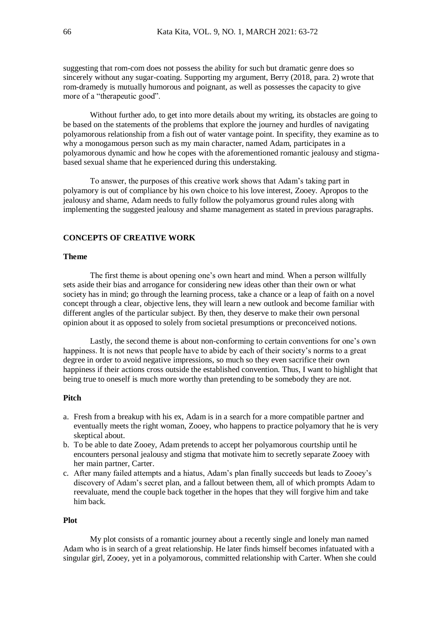suggesting that rom-com does not possess the ability for such but dramatic genre does so sincerely without any sugar-coating. Supporting my argument, Berry (2018, para. 2) wrote that rom-dramedy is mutually humorous and poignant, as well as possesses the capacity to give more of a "therapeutic good".

Without further ado, to get into more details about my writing, its obstacles are going to be based on the statements of the problems that explore the journey and hurdles of navigating polyamorous relationship from a fish out of water vantage point. In specifity, they examine as to why a monogamous person such as my main character, named Adam, participates in a polyamorous dynamic and how he copes with the aforementioned romantic jealousy and stigmabased sexual shame that he experienced during this understaking.

To answer, the purposes of this creative work shows that Adam's taking part in polyamory is out of compliance by his own choice to his love interest, Zooey. Apropos to the jealousy and shame, Adam needs to fully follow the polyamorus ground rules along with implementing the suggested jealousy and shame management as stated in previous paragraphs.

## **CONCEPTS OF CREATIVE WORK**

#### **Theme**

The first theme is about opening one's own heart and mind. When a person willfully sets aside their bias and arrogance for considering new ideas other than their own or what society has in mind; go through the learning process, take a chance or a leap of faith on a novel concept through a clear, objective lens, they will learn a new outlook and become familiar with different angles of the particular subject. By then, they deserve to make their own personal opinion about it as opposed to solely from societal presumptions or preconceived notions.

Lastly, the second theme is about non-conforming to certain conventions for one's own happiness. It is not news that people have to abide by each of their society's norms to a great degree in order to avoid negative impressions, so much so they even sacrifice their own happiness if their actions cross outside the established convention. Thus, I want to highlight that being true to oneself is much more worthy than pretending to be somebody they are not.

#### **Pitch**

- a. Fresh from a breakup with his ex, Adam is in a search for a more compatible partner and eventually meets the right woman, Zooey, who happens to practice polyamory that he is very skeptical about.
- b. To be able to date Zooey, Adam pretends to accept her polyamorous courtship until he encounters personal jealousy and stigma that motivate him to secretly separate Zooey with her main partner, Carter.
- c. After many failed attempts and a hiatus, Adam's plan finally succeeds but leads to Zooey's discovery of Adam's secret plan, and a fallout between them, all of which prompts Adam to reevaluate, mend the couple back together in the hopes that they will forgive him and take him back.

# **Plot**

My plot consists of a romantic journey about a recently single and lonely man named Adam who is in search of a great relationship. He later finds himself becomes infatuated with a singular girl, Zooey, yet in a polyamorous, committed relationship with Carter. When she could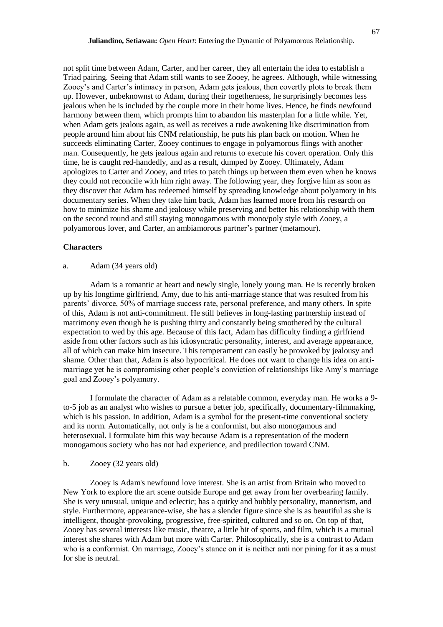not split time between Adam, Carter, and her career, they all entertain the idea to establish a Triad pairing. Seeing that Adam still wants to see Zooey, he agrees. Although, while witnessing Zooey's and Carter's intimacy in person, Adam gets jealous, then covertly plots to break them up. However, unbeknownst to Adam, during their togetherness, he surprisingly becomes less jealous when he is included by the couple more in their home lives. Hence, he finds newfound harmony between them, which prompts him to abandon his masterplan for a little while. Yet, when Adam gets jealous again, as well as receives a rude awakening like discrimination from people around him about his CNM relationship, he puts his plan back on motion. When he succeeds eliminating Carter, Zooey continues to engage in polyamorous flings with another man. Consequently, he gets jealous again and returns to execute his covert operation. Only this time, he is caught red-handedly, and as a result, dumped by Zooey. Ultimately, Adam apologizes to Carter and Zooey, and tries to patch things up between them even when he knows they could not reconcile with him right away. The following year, they forgive him as soon as they discover that Adam has redeemed himself by spreading knowledge about polyamory in his documentary series. When they take him back, Adam has learned more from his research on how to minimize his shame and jealousy while preserving and better his relationship with them on the second round and still staying monogamous with mono/poly style with Zooey, a polyamorous lover, and Carter, an ambiamorous partner's partner (metamour).

#### **Characters**

# a. Adam (34 years old)

Adam is a romantic at heart and newly single, lonely young man. He is recently broken up by his longtime girlfriend, Amy, due to his anti-marriage stance that was resulted from his parents' divorce, 50% of marriage success rate, personal preference, and many others. In spite of this, Adam is not anti-commitment. He still believes in long-lasting partnership instead of matrimony even though he is pushing thirty and constantly being smothered by the cultural expectation to wed by this age. Because of this fact, Adam has difficulty finding a girlfriend aside from other factors such as his idiosyncratic personality, interest, and average appearance, all of which can make him insecure. This temperament can easily be provoked by jealousy and shame. Other than that, Adam is also hypocritical. He does not want to change his idea on antimarriage yet he is compromising other people's conviction of relationships like Amy's marriage goal and Zooey's polyamory.

I formulate the character of Adam as a relatable common, everyday man. He works a 9 to-5 job as an analyst who wishes to pursue a better job, specifically, documentary-filmmaking, which is his passion. In addition, Adam is a symbol for the present-time conventional society and its norm. Automatically, not only is he a conformist, but also monogamous and heterosexual. I formulate him this way because Adam is a representation of the modern monogamous society who has not had experience, and predilection toward CNM.

#### b. Zooey (32 years old)

Zooey is Adam's newfound love interest. She is an artist from Britain who moved to New York to explore the art scene outside Europe and get away from her overbearing family. She is very unusual, unique and eclectic; has a quirky and bubbly personality, mannerism, and style. Furthermore, appearance-wise, she has a slender figure since she is as beautiful as she is intelligent, thought-provoking, progressive, free-spirited, cultured and so on. On top of that, Zooey has several interests like music, theatre, a little bit of sports, and film, which is a mutual interest she shares with Adam but more with Carter. Philosophically, she is a contrast to Adam who is a conformist. On marriage, Zooey's stance on it is neither anti nor pining for it as a must for she is neutral.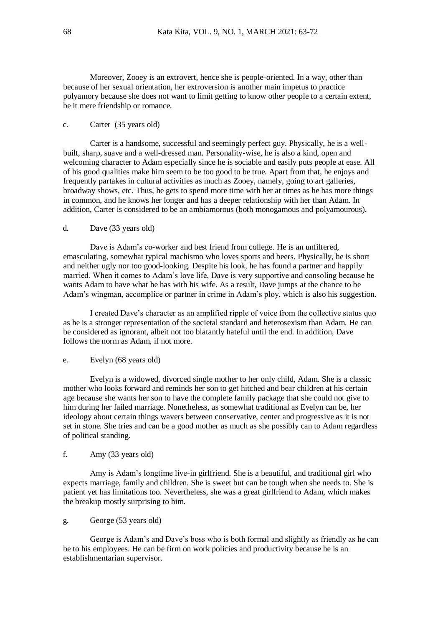Moreover, Zooey is an extrovert, hence she is people-oriented. In a way, other than because of her sexual orientation, her extroversion is another main impetus to practice polyamory because she does not want to limit getting to know other people to a certain extent, be it mere friendship or romance.

## c. Carter (35 years old)

Carter is a handsome, successful and seemingly perfect guy. Physically, he is a wellbuilt, sharp, suave and a well-dressed man. Personality-wise, he is also a kind, open and welcoming character to Adam especially since he is sociable and easily puts people at ease. All of his good qualities make him seem to be too good to be true. Apart from that, he enjoys and frequently partakes in cultural activities as much as Zooey, namely, going to art galleries, broadway shows, etc. Thus, he gets to spend more time with her at times as he has more things in common, and he knows her longer and has a deeper relationship with her than Adam. In addition, Carter is considered to be an ambiamorous (both monogamous and polyamourous).

#### d. Dave (33 years old)

Dave is Adam's co-worker and best friend from college. He is an unfiltered, emasculating, somewhat typical machismo who loves sports and beers. Physically, he is short and neither ugly nor too good-looking. Despite his look, he has found a partner and happily married. When it comes to Adam's love life, Dave is very supportive and consoling because he wants Adam to have what he has with his wife. As a result, Dave jumps at the chance to be Adam's wingman, accomplice or partner in crime in Adam's ploy, which is also his suggestion.

I created Dave's character as an amplified ripple of voice from the collective status quo as he is a stronger representation of the societal standard and heterosexism than Adam. He can be considered as ignorant, albeit not too blatantly hateful until the end. In addition, Dave follows the norm as Adam, if not more.

#### e. Evelyn (68 years old)

Evelyn is a widowed, divorced single mother to her only child, Adam. She is a classic mother who looks forward and reminds her son to get hitched and bear children at his certain age because she wants her son to have the complete family package that she could not give to him during her failed marriage. Nonetheless, as somewhat traditional as Evelyn can be, her ideology about certain things wavers between conservative, center and progressive as it is not set in stone. She tries and can be a good mother as much as she possibly can to Adam regardless of political standing.

# f. Amy (33 years old)

Amy is Adam's longtime live-in girlfriend. She is a beautiful, and traditional girl who expects marriage, family and children. She is sweet but can be tough when she needs to. She is patient yet has limitations too. Nevertheless, she was a great girlfriend to Adam, which makes the breakup mostly surprising to him.

#### g. George (53 years old)

George is Adam's and Dave's boss who is both formal and slightly as friendly as he can be to his employees. He can be firm on work policies and productivity because he is an establishmentarian supervisor.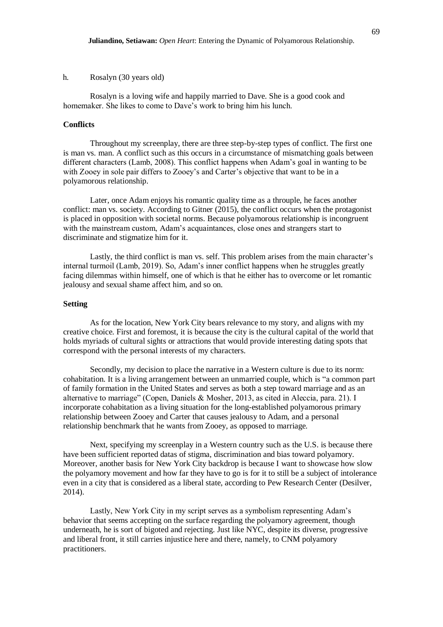## h. Rosalyn (30 years old)

Rosalyn is a loving wife and happily married to Dave. She is a good cook and homemaker. She likes to come to Dave's work to bring him his lunch.

#### **Conflicts**

Throughout my screenplay, there are three step-by-step types of conflict. The first one is man vs. man. A conflict such as this occurs in a circumstance of mismatching goals between different characters (Lamb, 2008). This conflict happens when Adam's goal in wanting to be with Zooey in sole pair differs to Zooey's and Carter's objective that want to be in a polyamorous relationship.

Later, once Adam enjoys his romantic quality time as a throuple, he faces another conflict: man vs. society. According to Gitner (2015), the conflict occurs when the protagonist is placed in opposition with societal norms. Because polyamorous relationship is incongruent with the mainstream custom, Adam's acquaintances, close ones and strangers start to discriminate and stigmatize him for it.

Lastly, the third conflict is man vs. self. This problem arises from the main character's internal turmoil (Lamb, 2019). So, Adam's inner conflict happens when he struggles greatly facing dilemmas within himself, one of which is that he either has to overcome or let romantic jealousy and sexual shame affect him, and so on.

## **Setting**

As for the location, New York City bears relevance to my story, and aligns with my creative choice. First and foremost, it is because the city is the cultural capital of the world that holds myriads of cultural sights or attractions that would provide interesting dating spots that correspond with the personal interests of my characters.

Secondly, my decision to place the narrative in a Western culture is due to its norm: cohabitation. It is a living arrangement between an unmarried couple, which is "a common part of family formation in the United States and serves as both a step toward marriage and as an alternative to marriage" (Copen, Daniels & Mosher, 2013, as cited in Aleccia, para. 21). I incorporate cohabitation as a living situation for the long-established polyamorous primary relationship between Zooey and Carter that causes jealousy to Adam, and a personal relationship benchmark that he wants from Zooey, as opposed to marriage.

Next, specifying my screenplay in a Western country such as the U.S. is because there have been sufficient reported datas of stigma, discrimination and bias toward polyamory. Moreover, another basis for New York City backdrop is because I want to showcase how slow the polyamory movement and how far they have to go is for it to still be a subject of intolerance even in a city that is considered as a liberal state, according to Pew Research Center (Desilver, 2014).

Lastly, New York City in my script serves as a symbolism representing Adam's behavior that seems accepting on the surface regarding the polyamory agreement, though underneath, he is sort of bigoted and rejecting. Just like NYC, despite its diverse, progressive and liberal front, it still carries injustice here and there, namely, to CNM polyamory practitioners.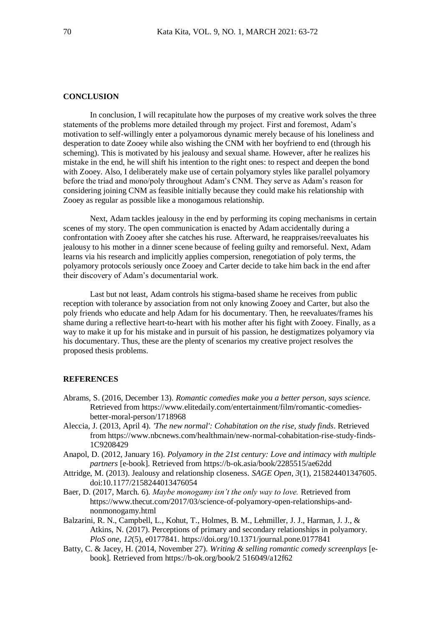# **CONCLUSION**

In conclusion, I will recapitulate how the purposes of my creative work solves the three statements of the problems more detailed through my project. First and foremost, Adam's motivation to self-willingly enter a polyamorous dynamic merely because of his loneliness and desperation to date Zooey while also wishing the CNM with her boyfriend to end (through his scheming). This is motivated by his jealousy and sexual shame. However, after he realizes his mistake in the end, he will shift his intention to the right ones: to respect and deepen the bond with Zooey. Also, I deliberately make use of certain polyamory styles like parallel polyamory before the triad and mono/poly throughout Adam's CNM. They serve as Adam's reason for considering joining CNM as feasible initially because they could make his relationship with Zooey as regular as possible like a monogamous relationship.

Next, Adam tackles jealousy in the end by performing its coping mechanisms in certain scenes of my story. The open communication is enacted by Adam accidentally during a confrontation with Zooey after she catches his ruse. Afterward, he reappraises/reevaluates his jealousy to his mother in a dinner scene because of feeling guilty and remorseful. Next, Adam learns via his research and implicitly applies compersion, renegotiation of poly terms, the polyamory protocols seriously once Zooey and Carter decide to take him back in the end after their discovery of Adam's documentarial work.

Last but not least, Adam controls his stigma-based shame he receives from public reception with tolerance by association from not only knowing Zooey and Carter, but also the poly friends who educate and help Adam for his documentary. Then, he reevaluates/frames his shame during a reflective heart-to-heart with his mother after his fight with Zooey. Finally, as a way to make it up for his mistake and in pursuit of his passion, he destigmatizes polyamory via his documentary. Thus, these are the plenty of scenarios my creative project resolves the proposed thesis problems.

# **REFERENCES**

- Abrams, S. (2016, December 13). *Romantic comedies make you a better person, says science.*  Retrieved from [https://www.elitedaily.com/entertainment/film/romantic-comedies](https://www.elitedaily.com/entertainment/film/romantic-comedies-better-moral-person/1718968)[better-moral-person/1718968](https://www.elitedaily.com/entertainment/film/romantic-comedies-better-moral-person/1718968)
- Aleccia, J. (2013, April 4). *'The new normal': Cohabitation on the rise, study finds*. Retrieved from https://www.nbcnews.com/healthmain/new-normal-cohabitation-rise-study-finds-1C9208429
- Anapol, D. (2012, January 16). *Polyamory in the 21st century: Love and intimacy with multiple partners* [e-book]. Retrieved from<https://b-ok.asia/book/2285515/ae62dd>
- Attridge, M. (2013). Jealousy and relationship closeness. *SAGE Open*, *3*(1), 215824401347605. doi:10.1177/2158244013476054
- Baer, D. (2017, March. 6). *Maybe monogamy isn't the only way to love.* Retrieved from [https://www.thecut.com/2017/03/science-of-polyamory-open-relationships-and](https://www.thecut.com/2017/03/science-of-polyamory-open-relationships-and-nonmonogamy.html)[nonmonogamy.html](https://www.thecut.com/2017/03/science-of-polyamory-open-relationships-and-nonmonogamy.html)
- Balzarini, R. N., Campbell, L., Kohut, T., Holmes, B. M., Lehmiller, J. J., Harman, J. J., & Atkins, N. (2017). Perceptions of primary and secondary relationships in polyamory. *PloS one*, *12*(5), e0177841.<https://doi.org/10.1371/journal.pone.0177841>
- Batty, C. & Jacey, H. (2014, November 27). *Writing & selling romantic comedy screenplays* [ebook]. Retrieved from [https://b-ok.org/book/2 516049/a12f62](https://b-ok.org/book/2516049/a12f62)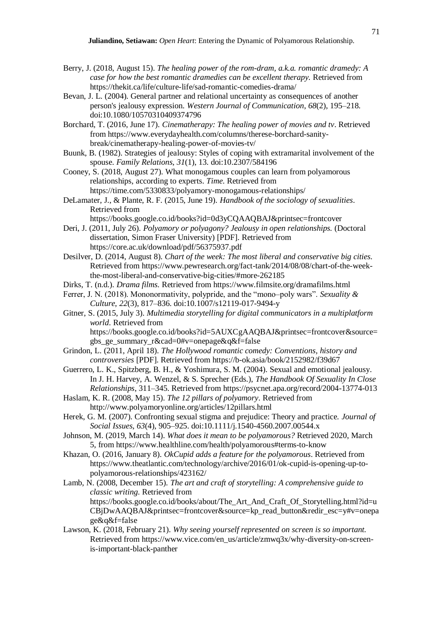- Berry, J. (2018, August 15). *The healing power of the rom-dram, a.k.a. romantic dramedy: A case for how the best romantic dramedies can be excellent therapy.* Retrieved from <https://thekit.ca/life/culture-life/sad-romantic-comedies-drama/>
- Bevan, J. L. (2004). General partner and relational uncertainty as consequences of another person's jealousy expression. *Western Journal of Communication*, *68*(2), 195–218. doi:10.1080/10570310409374796
- Borchard, T. (2016, June 17). *Cinematherapy: The healing power of movies and tv*. Retrieved from [https://www.everydayhealth.com/columns/therese-borchard-sanity](https://www.everydayhealth.com/columns/therese-borchard-sanity-break/cinematherapy-healing-power-of-movies-tv/)[break/cinematherapy-healing-power-of-movies-tv/](https://www.everydayhealth.com/columns/therese-borchard-sanity-break/cinematherapy-healing-power-of-movies-tv/)
- Buunk, B. (1982). Strategies of jealousy: Styles of coping with extramarital involvement of the spouse. *Family Relations*, *31*(1), 13. doi:10.2307/584196

Cooney, S. (2018, August 27). What monogamous couples can learn from polyamorous relationships, according to experts. *Time.* Retrieved from <https://time.com/5330833/polyamory-monogamous-relationships/>

- DeLamater, J., & Plante, R. F. (2015, June 19). *Handbook of the sociology of sexualities*. Retrieved from <https://books.google.co.id/books?id=0d3yCQAAQBAJ&printsec=frontcover>
- Deri, J. (2011, July 26). *Polyamory or polyagony? Jealousy in open relationships.* (Doctoral dissertation, Simon Fraser University) [PDF]. Retrieved from

<https://core.ac.uk/download/pdf/56375937.pdf>

Desilver, D. (2014, August 8). *Chart of the week: The most liberal and conservative big cities.* Retrieved from [https://www.pewresearch.org/fact-tank/2014/08/08/chart-of-the-week](https://www.pewresearch.org/fact-tank/2014/08/08/chart-of-the-week-the-most-liberal-and-conservative-big-cities/#more-262185)[the-most-liberal-and-conservative-big-cities/#more-262185](https://www.pewresearch.org/fact-tank/2014/08/08/chart-of-the-week-the-most-liberal-and-conservative-big-cities/#more-262185)

- Dirks, T. (n.d.). *Drama films.* Retrieved from<https://www.filmsite.org/dramafilms.html>
- Ferrer, J. N. (2018). Mononormativity, polypride, and the "mono–poly wars". *Sexuality & Culture*, *22*(3), 817–836. doi:10.1007/s12119-017-9494-y
- Gitner, S. (2015, July 3). *Multimedia storytelling for digital communicators in a multiplatform world*. Retrieved from https://books.google.co.id/books?id=5AUXCgAAQBAJ&printsec=frontcover&source= gbs\_ge\_summary\_r&cad=0#v=onepage&q&f=false
- Grindon, L. (2011, April 18). *The Hollywood romantic comedy: Conventions, history and controversies* [PDF]. Retrieved from<https://b-ok.asia/book/2152982/f39d67>
- Guerrero, L. K., Spitzberg, B. H., & Yoshimura, S. M. (2004). Sexual and emotional jealousy. In J. H. Harvey, A. Wenzel, & S. Sprecher (Eds.), *The Handbook Of Sexuality In Close Relationships*, 311–345. Retrieved from<https://psycnet.apa.org/record/2004-13774-013>
- Haslam, K. R. (2008, May 15). *The 12 pillars of polyamory*. Retrieved from http://www.polyamoryonline.org/articles/12pillars.html
- Herek, G. M. (2007). Confronting sexual stigma and prejudice: Theory and practice. *Journal of Social Issues*, *63*(4), 905–925. doi:10.1111/j.1540-4560.2007.00544.x
- Johnson, M. (2019, March 14). *What does it mean to be polyamorous?* Retrieved 2020, March 5, from<https://www.healthline.com/health/polyamorous#terms-to-know>
- Khazan, O. (2016, January 8). *OkCupid adds a feature for the polyamorous*. Retrieved from [https://www.theatlantic.com/technology/archive/2016/01/ok-cupid-is-opening-up-to](https://www.theatlantic.com/technology/archive/2016/01/ok-cupid-is-opening-up-to-polyamorous-relationships/423162/)[polyamorous-relationships/423162/](https://www.theatlantic.com/technology/archive/2016/01/ok-cupid-is-opening-up-to-polyamorous-relationships/423162/)
- Lamb, N. (2008, December 15). *The art and craft of storytelling: A comprehensive guide to classic writing.* Retrieved from https://books.google.co.id/books/about/The Art And Craft Of Storytelling.html?id=u CBjDwAAQBAJ&printsec=frontcover&source=kp\_read\_button&redir\_esc=y#v=onepa ge&q&f=false
- Lawson, K. (2018, February 21). *Why seeing yourself represented on screen is so important.*  Retrieved from [https://www.vice.com/en\\_us/article/zmwq3x/why-diversity-on-screen](https://www.vice.com/en_us/article/zmwq3x/why-diversity-on-screen-is-important-black-panther)[is-important-black-panther](https://www.vice.com/en_us/article/zmwq3x/why-diversity-on-screen-is-important-black-panther)